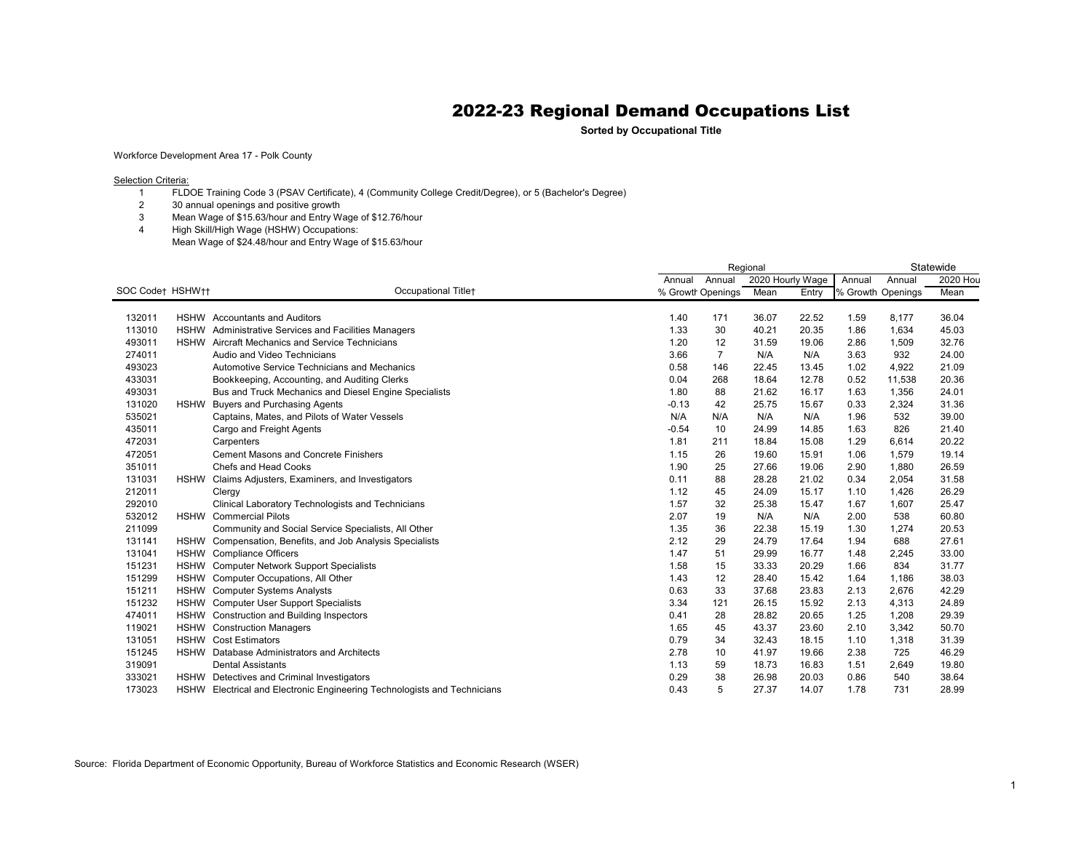**Sorted by Occupational Title**

Workforce Development Area 17 - Polk County

**Selection Criteria:** 

- FLDOE Training Code 3 (PSAV Certificate), 4 (Community College Credit/Degree), or 5 (Bachelor's Degree)
- 30 annual openings and positive growth
- Mean Wage of \$15.63/hour and Entry Wage of \$12.76/hour
- High Skill/High Wage (HSHW) Occupations: Mean Wage of \$24.48/hour and Entry Wage of \$15.63/hour

|                  |             |                                                                          | Regional |                   |                  |       |                   |        | Statewide |  |
|------------------|-------------|--------------------------------------------------------------------------|----------|-------------------|------------------|-------|-------------------|--------|-----------|--|
|                  |             |                                                                          | Annual   | Annual            | 2020 Hourly Wage |       | Annual            | Annual | 2020 Hou  |  |
| SOC Codet HSHWtt |             | Occupational Titlet                                                      |          | % Growth Openings | Mean             | Entry | % Growth Openings |        | Mean      |  |
|                  |             |                                                                          |          |                   |                  |       |                   |        |           |  |
| 132011           |             | <b>HSHW</b> Accountants and Auditors                                     | 1.40     | 171               | 36.07            | 22.52 | 1.59              | 8,177  | 36.04     |  |
| 113010           | <b>HSHW</b> | Administrative Services and Facilities Managers                          | 1.33     | 30                | 40.21            | 20.35 | 1.86              | 1,634  | 45.03     |  |
| 493011           | <b>HSHW</b> | Aircraft Mechanics and Service Technicians                               | 1.20     | 12                | 31.59            | 19.06 | 2.86              | 1,509  | 32.76     |  |
| 274011           |             | Audio and Video Technicians                                              | 3.66     | $\overline{7}$    | N/A              | N/A   | 3.63              | 932    | 24.00     |  |
| 493023           |             | Automotive Service Technicians and Mechanics                             | 0.58     | 146               | 22.45            | 13.45 | 1.02              | 4,922  | 21.09     |  |
| 433031           |             | Bookkeeping, Accounting, and Auditing Clerks                             | 0.04     | 268               | 18.64            | 12.78 | 0.52              | 11,538 | 20.36     |  |
| 493031           |             | Bus and Truck Mechanics and Diesel Engine Specialists                    | 1.80     | 88                | 21.62            | 16.17 | 1.63              | 1,356  | 24.01     |  |
| 131020           |             | HSHW Buyers and Purchasing Agents                                        | $-0.13$  | 42                | 25.75            | 15.67 | 0.33              | 2,324  | 31.36     |  |
| 535021           |             | Captains, Mates, and Pilots of Water Vessels                             | N/A      | N/A               | N/A              | N/A   | 1.96              | 532    | 39.00     |  |
| 435011           |             | Cargo and Freight Agents                                                 | $-0.54$  | 10                | 24.99            | 14.85 | 1.63              | 826    | 21.40     |  |
| 472031           |             | Carpenters                                                               | 1.81     | 211               | 18.84            | 15.08 | 1.29              | 6,614  | 20.22     |  |
| 472051           |             | <b>Cement Masons and Concrete Finishers</b>                              | 1.15     | 26                | 19.60            | 15.91 | 1.06              | 1,579  | 19.14     |  |
| 351011           |             | Chefs and Head Cooks                                                     | 1.90     | 25                | 27.66            | 19.06 | 2.90              | 1,880  | 26.59     |  |
| 131031           | <b>HSHW</b> | Claims Adjusters, Examiners, and Investigators                           | 0.11     | 88                | 28.28            | 21.02 | 0.34              | 2,054  | 31.58     |  |
| 212011           |             | Clergy                                                                   | 1.12     | 45                | 24.09            | 15.17 | 1.10              | 1,426  | 26.29     |  |
| 292010           |             | Clinical Laboratory Technologists and Technicians                        | 1.57     | 32                | 25.38            | 15.47 | 1.67              | 1,607  | 25.47     |  |
| 532012           |             | <b>HSHW</b> Commercial Pilots                                            | 2.07     | 19                | N/A              | N/A   | 2.00              | 538    | 60.80     |  |
| 211099           |             | Community and Social Service Specialists, All Other                      | 1.35     | 36                | 22.38            | 15.19 | 1.30              | 1,274  | 20.53     |  |
| 131141           |             | HSHW Compensation, Benefits, and Job Analysis Specialists                | 2.12     | 29                | 24.79            | 17.64 | 1.94              | 688    | 27.61     |  |
| 131041           | <b>HSHW</b> | <b>Compliance Officers</b>                                               | 1.47     | 51                | 29.99            | 16.77 | 1.48              | 2,245  | 33.00     |  |
| 151231           | <b>HSHW</b> | <b>Computer Network Support Specialists</b>                              | 1.58     | 15                | 33.33            | 20.29 | 1.66              | 834    | 31.77     |  |
| 151299           | <b>HSHW</b> | Computer Occupations, All Other                                          | 1.43     | 12                | 28.40            | 15.42 | 1.64              | 1,186  | 38.03     |  |
| 151211           |             | HSHW Computer Systems Analysts                                           | 0.63     | 33                | 37.68            | 23.83 | 2.13              | 2,676  | 42.29     |  |
| 151232           |             | HSHW Computer User Support Specialists                                   | 3.34     | 121               | 26.15            | 15.92 | 2.13              | 4,313  | 24.89     |  |
| 474011           |             | HSHW Construction and Building Inspectors                                | 0.41     | 28                | 28.82            | 20.65 | 1.25              | 1,208  | 29.39     |  |
| 119021           |             | <b>HSHW</b> Construction Managers                                        | 1.65     | 45                | 43.37            | 23.60 | 2.10              | 3,342  | 50.70     |  |
| 131051           |             | <b>HSHW</b> Cost Estimators                                              | 0.79     | 34                | 32.43            | 18.15 | 1.10              | 1,318  | 31.39     |  |
| 151245           | <b>HSHW</b> | Database Administrators and Architects                                   | 2.78     | 10                | 41.97            | 19.66 | 2.38              | 725    | 46.29     |  |
| 319091           |             | <b>Dental Assistants</b>                                                 | 1.13     | 59                | 18.73            | 16.83 | 1.51              | 2,649  | 19.80     |  |
| 333021           |             | HSHW Detectives and Criminal Investigators                               | 0.29     | 38                | 26.98            | 20.03 | 0.86              | 540    | 38.64     |  |
| 173023           |             | HSHW Electrical and Electronic Engineering Technologists and Technicians | 0.43     | 5                 | 27.37            | 14.07 | 1.78              | 731    | 28.99     |  |

Source: Florida Department of Economic Opportunity, Bureau of Workforce Statistics and Economic Research (WSER)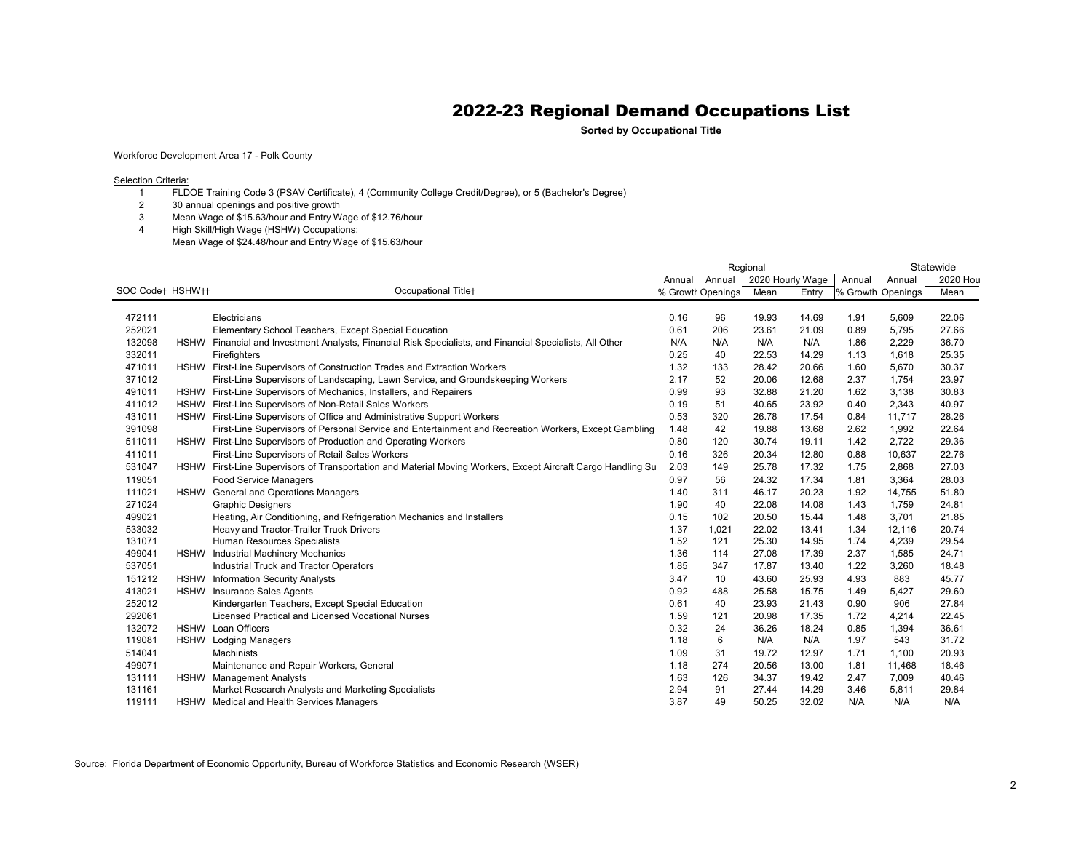**Sorted by Occupational Title**

Workforce Development Area 17 - Polk County

**Selection Criteria:** 

- FLDOE Training Code 3 (PSAV Certificate), 4 (Community College Credit/Degree), or 5 (Bachelor's Degree)
- 30 annual openings and positive growth
- Mean Wage of \$15.63/hour and Entry Wage of \$12.76/hour
- High Skill/High Wage (HSHW) Occupations: Mean Wage of \$24.48/hour and Entry Wage of \$15.63/hour

|                  |             |                                                                                                               | Statewide<br>Regional |                   |                  |       |                   |        |          |
|------------------|-------------|---------------------------------------------------------------------------------------------------------------|-----------------------|-------------------|------------------|-------|-------------------|--------|----------|
|                  |             |                                                                                                               | Annual                | Annual            | 2020 Hourly Wage |       | Annual            | Annual | 2020 Hou |
| SOC Code† HSHW†† |             | Occupational Title+                                                                                           |                       | % Growth Openings | Mean             | Entry | % Growth Openings |        | Mean     |
|                  |             |                                                                                                               |                       |                   |                  |       |                   |        |          |
| 472111           |             | Electricians                                                                                                  | 0.16                  | 96                | 19.93            | 14.69 | 1.91              | 5,609  | 22.06    |
| 252021           |             | Elementary School Teachers, Except Special Education                                                          | 0.61                  | 206               | 23.61            | 21.09 | 0.89              | 5,795  | 27.66    |
| 132098           |             | HSHW Financial and Investment Analysts, Financial Risk Specialists, and Financial Specialists, All Other      | N/A                   | N/A               | N/A              | N/A   | 1.86              | 2,229  | 36.70    |
| 332011           |             | Firefighters                                                                                                  | 0.25                  | 40                | 22.53            | 14.29 | 1.13              | 1,618  | 25.35    |
| 471011           |             | HSHW First-Line Supervisors of Construction Trades and Extraction Workers                                     | 1.32                  | 133               | 28.42            | 20.66 | 1.60              | 5,670  | 30.37    |
| 371012           |             | First-Line Supervisors of Landscaping, Lawn Service, and Groundskeeping Workers                               | 2.17                  | 52                | 20.06            | 12.68 | 2.37              | 1,754  | 23.97    |
| 491011           |             | HSHW First-Line Supervisors of Mechanics, Installers, and Repairers                                           | 0.99                  | 93                | 32.88            | 21.20 | 1.62              | 3,138  | 30.83    |
| 411012           |             | HSHW First-Line Supervisors of Non-Retail Sales Workers                                                       | 0.19                  | 51                | 40.65            | 23.92 | 0.40              | 2,343  | 40.97    |
| 431011           |             | HSHW First-Line Supervisors of Office and Administrative Support Workers                                      | 0.53                  | 320               | 26.78            | 17.54 | 0.84              | 11,717 | 28.26    |
| 391098           |             | First-Line Supervisors of Personal Service and Entertainment and Recreation Workers, Except Gambling          | 1.48                  | 42                | 19.88            | 13.68 | 2.62              | 1,992  | 22.64    |
| 511011           | <b>HSHW</b> | First-Line Supervisors of Production and Operating Workers                                                    | 0.80                  | 120               | 30.74            | 19.11 | 1.42              | 2,722  | 29.36    |
| 411011           |             | First-Line Supervisors of Retail Sales Workers                                                                | 0.16                  | 326               | 20.34            | 12.80 | 0.88              | 10,637 | 22.76    |
| 531047           |             | HSHW First-Line Supervisors of Transportation and Material Moving Workers, Except Aircraft Cargo Handling Sup | 2.03                  | 149               | 25.78            | 17.32 | 1.75              | 2,868  | 27.03    |
| 119051           |             | <b>Food Service Managers</b>                                                                                  | 0.97                  | 56                | 24.32            | 17.34 | 1.81              | 3,364  | 28.03    |
| 111021           |             | HSHW General and Operations Managers                                                                          | 1.40                  | 311               | 46.17            | 20.23 | 1.92              | 14,755 | 51.80    |
| 271024           |             | <b>Graphic Designers</b>                                                                                      | 1.90                  | 40                | 22.08            | 14.08 | 1.43              | 1,759  | 24.81    |
| 499021           |             | Heating, Air Conditioning, and Refrigeration Mechanics and Installers                                         | 0.15                  | 102               | 20.50            | 15.44 | 1.48              | 3,701  | 21.85    |
| 533032           |             | Heavy and Tractor-Trailer Truck Drivers                                                                       | 1.37                  | 1,021             | 22.02            | 13.41 | 1.34              | 12,116 | 20.74    |
| 131071           |             | Human Resources Specialists                                                                                   | 1.52                  | 121               | 25.30            | 14.95 | 1.74              | 4,239  | 29.54    |
| 499041           |             | HSHW Industrial Machinery Mechanics                                                                           | 1.36                  | 114               | 27.08            | 17.39 | 2.37              | 1,585  | 24.71    |
| 537051           |             | Industrial Truck and Tractor Operators                                                                        | 1.85                  | 347               | 17.87            | 13.40 | 1.22              | 3,260  | 18.48    |
| 151212           | <b>HSHW</b> | <b>Information Security Analysts</b>                                                                          | 3.47                  | 10                | 43.60            | 25.93 | 4.93              | 883    | 45.77    |
| 413021           | <b>HSHW</b> | <b>Insurance Sales Agents</b>                                                                                 | 0.92                  | 488               | 25.58            | 15.75 | 1.49              | 5,427  | 29.60    |
| 252012           |             | Kindergarten Teachers, Except Special Education                                                               | 0.61                  | 40                | 23.93            | 21.43 | 0.90              | 906    | 27.84    |
| 292061           |             | Licensed Practical and Licensed Vocational Nurses                                                             | 1.59                  | 121               | 20.98            | 17.35 | 1.72              | 4,214  | 22.45    |
| 132072           |             | <b>HSHW</b> Loan Officers                                                                                     | 0.32                  | 24                | 36.26            | 18.24 | 0.85              | 1,394  | 36.61    |
| 119081           |             | <b>HSHW</b> Lodging Managers                                                                                  | 1.18                  | 6                 | N/A              | N/A   | 1.97              | 543    | 31.72    |
| 514041           |             | Machinists                                                                                                    | 1.09                  | 31                | 19.72            | 12.97 | 1.71              | 1.100  | 20.93    |
| 499071           |             | Maintenance and Repair Workers, General                                                                       | 1.18                  | 274               | 20.56            | 13.00 | 1.81              | 11,468 | 18.46    |
| 131111           |             | HSHW Management Analysts                                                                                      | 1.63                  | 126               | 34.37            | 19.42 | 2.47              | 7,009  | 40.46    |
| 131161           |             | Market Research Analysts and Marketing Specialists                                                            | 2.94                  | 91                | 27.44            | 14.29 | 3.46              | 5,811  | 29.84    |
| 119111           |             | HSHW Medical and Health Services Managers                                                                     | 3.87                  | 49                | 50.25            | 32.02 | N/A               | N/A    | N/A      |

Source: Florida Department of Economic Opportunity, Bureau of Workforce Statistics and Economic Research (WSER)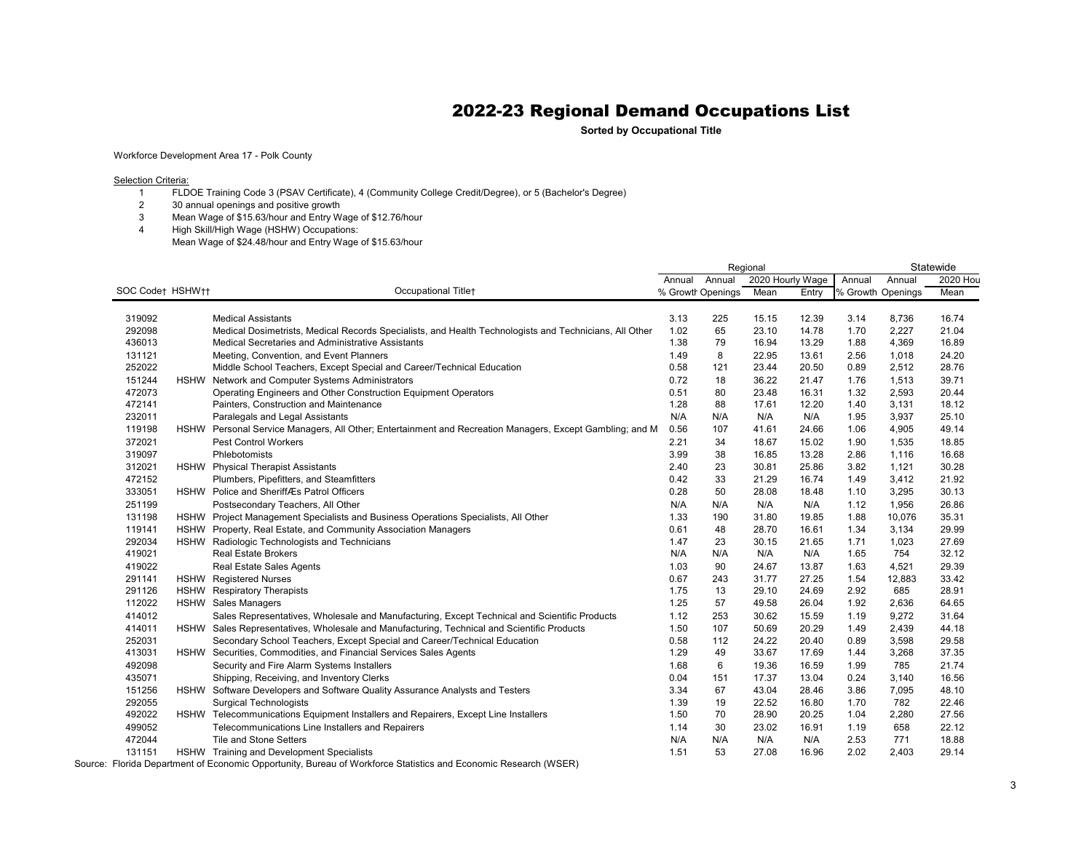**Sorted by Occupational Title**

Workforce Development Area 17 - Polk County

**Selection Criteria:** 

- FLDOE Training Code 3 (PSAV Certificate), 4 (Community College Credit/Degree), or 5 (Bachelor's Degree)
- 30 annual openings and positive growth
- Mean Wage of \$15.63/hour and Entry Wage of \$12.76/hour
- High Skill/High Wage (HSHW) Occupations: Mean Wage of \$24.48/hour and Entry Wage of \$15.63/hour

| Annual<br>2020 Hourly Wage<br>Annual<br>2020 Hou<br>Annual<br>Annual<br>SOC Code† HSHW††<br>Occupational Titlet<br>% Growth Openings<br>Mean<br>Mean<br>% Growth Openings<br>Entrv<br>3.13<br>319092<br><b>Medical Assistants</b><br>225<br>15.15<br>12.39<br>3.14<br>8,736<br>16.74<br>65<br>292098<br>Medical Dosimetrists, Medical Records Specialists, and Health Technologists and Technicians, All Other<br>1.02<br>23.10<br>14.78<br>1.70<br>2,227<br>21.04<br>436013<br>Medical Secretaries and Administrative Assistants<br>1.38<br>79<br>16.94<br>13.29<br>4,369<br>16.89<br>1.88<br>8<br>24.20<br>131121<br>Meeting, Convention, and Event Planners<br>1.49<br>22.95<br>13.61<br>2.56<br>1,018<br>252022<br>Middle School Teachers, Except Special and Career/Technical Education<br>0.58<br>121<br>20.50<br>2,512<br>28.76<br>23.44<br>0.89<br>151244<br>Network and Computer Systems Administrators<br>0.72<br>18<br>36.22<br>39.71<br><b>HSHW</b><br>21.47<br>1.76<br>1,513<br>472073<br>Operating Engineers and Other Construction Equipment Operators<br>2,593<br>20.44<br>0.51<br>80<br>23.48<br>16.31<br>1.32<br>472141<br>1.28<br>88<br>18.12<br>Painters, Construction and Maintenance<br>17.61<br>12.20<br>1.40<br>3,131<br>232011<br>Paralegals and Legal Assistants<br>N/A<br>N/A<br>N/A<br>N/A<br>3,937<br>25.10<br>1.95<br>0.56<br>107<br>49.14<br>119198<br>Personal Service Managers, All Other; Entertainment and Recreation Managers, Except Gambling; and M<br>41.61<br>24.66<br>1.06<br>4,905<br><b>HSHW</b><br>372021<br><b>Pest Control Workers</b><br>2.21<br>34<br>1,535<br>18.85<br>18.67<br>15.02<br>1.90<br>319097<br>3.99<br>38<br>13.28<br>16.68<br>Phlebotomists<br>16.85<br>2.86<br>1,116<br>1,121<br>30.28<br>312021<br>HSHW Physical Therapist Assistants<br>2.40<br>23<br>30.81<br>25.86<br>3.82<br>472152<br>0.42<br>33<br>21.29<br>16.74<br>1.49<br>3,412<br>21.92<br>Plumbers, Pipefitters, and Steamfitters<br>333051<br>HSHW Police and SheriffÆs Patrol Officers<br>0.28<br>50<br>30.13<br>28.08<br>18.48<br>1.10<br>3,295<br>251199<br>Postsecondary Teachers, All Other<br>N/A<br>N/A<br>N/A<br>26.86<br>N/A<br>1.12<br>1,956<br>HSHW Project Management Specialists and Business Operations Specialists, All Other<br>35.31<br>131198<br>1.33<br>190<br>31.80<br>19.85<br>1.88<br>10,076<br>Property, Real Estate, and Community Association Managers<br>0.61<br>48<br>3,134<br>29.99<br>119141<br><b>HSHW</b><br>28.70<br>16.61<br>1.34<br>292034<br>30.15<br>1,023<br>27.69<br>HSHW Radiologic Technologists and Technicians<br>1.47<br>23<br>21.65<br>1.71<br>32.12<br>419021<br><b>Real Estate Brokers</b><br>N/A<br>N/A<br>N/A<br>N/A<br>754<br>1.65<br>419022<br>90<br>29.39<br>Real Estate Sales Agents<br>1.03<br>24.67<br>13.87<br>1.63<br>4,521<br>291141<br><b>HSHW</b><br><b>Registered Nurses</b><br>0.67<br>243<br>31.77<br>27.25<br>1.54<br>12,883<br>33.42<br>291126<br><b>HSHW</b><br><b>Respiratory Therapists</b><br>1.75<br>24.69<br>2.92<br>685<br>28.91<br>13<br>29.10<br>1.25<br>64.65<br>112022<br>HSHW Sales Managers<br>57<br>49.58<br>26.04<br>1.92<br>2,636<br>414012<br>Sales Representatives, Wholesale and Manufacturing, Except Technical and Scientific Products<br>1.12<br>253<br>15.59<br>9,272<br>31.64<br>30.62<br>1.19<br>HSHW Sales Representatives, Wholesale and Manufacturing, Technical and Scientific Products<br>44.18<br>414011<br>1.50<br>107<br>50.69<br>20.29<br>1.49<br>2,439<br>252031<br>Secondary School Teachers, Except Special and Career/Technical Education<br>0.58<br>112<br>24.22<br>20.40<br>0.89<br>3,598<br>29.58<br>HSHW Securities, Commodities, and Financial Services Sales Agents<br>49<br>37.35<br>413031<br>1.29<br>33.67<br>17.69<br>1.44<br>3,268<br>6<br>21.74<br>492098<br>Security and Fire Alarm Systems Installers<br>19.36<br>785<br>1.68<br>16.59<br>1.99<br>435071<br>Shipping, Receiving, and Inventory Clerks<br>151<br>17.37<br>16.56<br>0.04<br>13.04<br>0.24<br>3,140<br>67<br>48.10<br>151256<br>HSHW Software Developers and Software Quality Assurance Analysts and Testers<br>3.34<br>43.04<br>28.46<br>3.86<br>7,095<br>19<br>782<br>22.46<br>292055<br><b>Surgical Technologists</b><br>1.39<br>22.52<br>16.80<br>1.70<br>HSHW Telecommunications Equipment Installers and Repairers, Except Line Installers<br>70<br>27.56<br>492022<br>1.50<br>28.90<br>20.25<br>1.04<br>2,280 |        |                                                  | Regional |    |       |       |      |     | Statewide |  |
|-----------------------------------------------------------------------------------------------------------------------------------------------------------------------------------------------------------------------------------------------------------------------------------------------------------------------------------------------------------------------------------------------------------------------------------------------------------------------------------------------------------------------------------------------------------------------------------------------------------------------------------------------------------------------------------------------------------------------------------------------------------------------------------------------------------------------------------------------------------------------------------------------------------------------------------------------------------------------------------------------------------------------------------------------------------------------------------------------------------------------------------------------------------------------------------------------------------------------------------------------------------------------------------------------------------------------------------------------------------------------------------------------------------------------------------------------------------------------------------------------------------------------------------------------------------------------------------------------------------------------------------------------------------------------------------------------------------------------------------------------------------------------------------------------------------------------------------------------------------------------------------------------------------------------------------------------------------------------------------------------------------------------------------------------------------------------------------------------------------------------------------------------------------------------------------------------------------------------------------------------------------------------------------------------------------------------------------------------------------------------------------------------------------------------------------------------------------------------------------------------------------------------------------------------------------------------------------------------------------------------------------------------------------------------------------------------------------------------------------------------------------------------------------------------------------------------------------------------------------------------------------------------------------------------------------------------------------------------------------------------------------------------------------------------------------------------------------------------------------------------------------------------------------------------------------------------------------------------------------------------------------------------------------------------------------------------------------------------------------------------------------------------------------------------------------------------------------------------------------------------------------------------------------------------------------------------------------------------------------------------------------------------------------------------------------------------------------------------------------------------------------------------------------------------------------------------------------------------------------------------------------------------------------------------------------------------------------------------------------------------------------------------------------------------------------------------------------------------------------------------------------------------------------------------------------------------------------------------------------------------------------------------------------------------------------------------------------------------------------------------------------------------------------------------------------|--------|--------------------------------------------------|----------|----|-------|-------|------|-----|-----------|--|
|                                                                                                                                                                                                                                                                                                                                                                                                                                                                                                                                                                                                                                                                                                                                                                                                                                                                                                                                                                                                                                                                                                                                                                                                                                                                                                                                                                                                                                                                                                                                                                                                                                                                                                                                                                                                                                                                                                                                                                                                                                                                                                                                                                                                                                                                                                                                                                                                                                                                                                                                                                                                                                                                                                                                                                                                                                                                                                                                                                                                                                                                                                                                                                                                                                                                                                                                                                                                                                                                                                                                                                                                                                                                                                                                                                                                                                                                                                                                                                                                                                                                                                                                                                                                                                                                                                                                                                                                                                   |        |                                                  |          |    |       |       |      |     |           |  |
|                                                                                                                                                                                                                                                                                                                                                                                                                                                                                                                                                                                                                                                                                                                                                                                                                                                                                                                                                                                                                                                                                                                                                                                                                                                                                                                                                                                                                                                                                                                                                                                                                                                                                                                                                                                                                                                                                                                                                                                                                                                                                                                                                                                                                                                                                                                                                                                                                                                                                                                                                                                                                                                                                                                                                                                                                                                                                                                                                                                                                                                                                                                                                                                                                                                                                                                                                                                                                                                                                                                                                                                                                                                                                                                                                                                                                                                                                                                                                                                                                                                                                                                                                                                                                                                                                                                                                                                                                                   |        |                                                  |          |    |       |       |      |     |           |  |
|                                                                                                                                                                                                                                                                                                                                                                                                                                                                                                                                                                                                                                                                                                                                                                                                                                                                                                                                                                                                                                                                                                                                                                                                                                                                                                                                                                                                                                                                                                                                                                                                                                                                                                                                                                                                                                                                                                                                                                                                                                                                                                                                                                                                                                                                                                                                                                                                                                                                                                                                                                                                                                                                                                                                                                                                                                                                                                                                                                                                                                                                                                                                                                                                                                                                                                                                                                                                                                                                                                                                                                                                                                                                                                                                                                                                                                                                                                                                                                                                                                                                                                                                                                                                                                                                                                                                                                                                                                   |        |                                                  |          |    |       |       |      |     |           |  |
|                                                                                                                                                                                                                                                                                                                                                                                                                                                                                                                                                                                                                                                                                                                                                                                                                                                                                                                                                                                                                                                                                                                                                                                                                                                                                                                                                                                                                                                                                                                                                                                                                                                                                                                                                                                                                                                                                                                                                                                                                                                                                                                                                                                                                                                                                                                                                                                                                                                                                                                                                                                                                                                                                                                                                                                                                                                                                                                                                                                                                                                                                                                                                                                                                                                                                                                                                                                                                                                                                                                                                                                                                                                                                                                                                                                                                                                                                                                                                                                                                                                                                                                                                                                                                                                                                                                                                                                                                                   |        |                                                  |          |    |       |       |      |     |           |  |
|                                                                                                                                                                                                                                                                                                                                                                                                                                                                                                                                                                                                                                                                                                                                                                                                                                                                                                                                                                                                                                                                                                                                                                                                                                                                                                                                                                                                                                                                                                                                                                                                                                                                                                                                                                                                                                                                                                                                                                                                                                                                                                                                                                                                                                                                                                                                                                                                                                                                                                                                                                                                                                                                                                                                                                                                                                                                                                                                                                                                                                                                                                                                                                                                                                                                                                                                                                                                                                                                                                                                                                                                                                                                                                                                                                                                                                                                                                                                                                                                                                                                                                                                                                                                                                                                                                                                                                                                                                   |        |                                                  |          |    |       |       |      |     |           |  |
|                                                                                                                                                                                                                                                                                                                                                                                                                                                                                                                                                                                                                                                                                                                                                                                                                                                                                                                                                                                                                                                                                                                                                                                                                                                                                                                                                                                                                                                                                                                                                                                                                                                                                                                                                                                                                                                                                                                                                                                                                                                                                                                                                                                                                                                                                                                                                                                                                                                                                                                                                                                                                                                                                                                                                                                                                                                                                                                                                                                                                                                                                                                                                                                                                                                                                                                                                                                                                                                                                                                                                                                                                                                                                                                                                                                                                                                                                                                                                                                                                                                                                                                                                                                                                                                                                                                                                                                                                                   |        |                                                  |          |    |       |       |      |     |           |  |
|                                                                                                                                                                                                                                                                                                                                                                                                                                                                                                                                                                                                                                                                                                                                                                                                                                                                                                                                                                                                                                                                                                                                                                                                                                                                                                                                                                                                                                                                                                                                                                                                                                                                                                                                                                                                                                                                                                                                                                                                                                                                                                                                                                                                                                                                                                                                                                                                                                                                                                                                                                                                                                                                                                                                                                                                                                                                                                                                                                                                                                                                                                                                                                                                                                                                                                                                                                                                                                                                                                                                                                                                                                                                                                                                                                                                                                                                                                                                                                                                                                                                                                                                                                                                                                                                                                                                                                                                                                   |        |                                                  |          |    |       |       |      |     |           |  |
|                                                                                                                                                                                                                                                                                                                                                                                                                                                                                                                                                                                                                                                                                                                                                                                                                                                                                                                                                                                                                                                                                                                                                                                                                                                                                                                                                                                                                                                                                                                                                                                                                                                                                                                                                                                                                                                                                                                                                                                                                                                                                                                                                                                                                                                                                                                                                                                                                                                                                                                                                                                                                                                                                                                                                                                                                                                                                                                                                                                                                                                                                                                                                                                                                                                                                                                                                                                                                                                                                                                                                                                                                                                                                                                                                                                                                                                                                                                                                                                                                                                                                                                                                                                                                                                                                                                                                                                                                                   |        |                                                  |          |    |       |       |      |     |           |  |
|                                                                                                                                                                                                                                                                                                                                                                                                                                                                                                                                                                                                                                                                                                                                                                                                                                                                                                                                                                                                                                                                                                                                                                                                                                                                                                                                                                                                                                                                                                                                                                                                                                                                                                                                                                                                                                                                                                                                                                                                                                                                                                                                                                                                                                                                                                                                                                                                                                                                                                                                                                                                                                                                                                                                                                                                                                                                                                                                                                                                                                                                                                                                                                                                                                                                                                                                                                                                                                                                                                                                                                                                                                                                                                                                                                                                                                                                                                                                                                                                                                                                                                                                                                                                                                                                                                                                                                                                                                   |        |                                                  |          |    |       |       |      |     |           |  |
|                                                                                                                                                                                                                                                                                                                                                                                                                                                                                                                                                                                                                                                                                                                                                                                                                                                                                                                                                                                                                                                                                                                                                                                                                                                                                                                                                                                                                                                                                                                                                                                                                                                                                                                                                                                                                                                                                                                                                                                                                                                                                                                                                                                                                                                                                                                                                                                                                                                                                                                                                                                                                                                                                                                                                                                                                                                                                                                                                                                                                                                                                                                                                                                                                                                                                                                                                                                                                                                                                                                                                                                                                                                                                                                                                                                                                                                                                                                                                                                                                                                                                                                                                                                                                                                                                                                                                                                                                                   |        |                                                  |          |    |       |       |      |     |           |  |
|                                                                                                                                                                                                                                                                                                                                                                                                                                                                                                                                                                                                                                                                                                                                                                                                                                                                                                                                                                                                                                                                                                                                                                                                                                                                                                                                                                                                                                                                                                                                                                                                                                                                                                                                                                                                                                                                                                                                                                                                                                                                                                                                                                                                                                                                                                                                                                                                                                                                                                                                                                                                                                                                                                                                                                                                                                                                                                                                                                                                                                                                                                                                                                                                                                                                                                                                                                                                                                                                                                                                                                                                                                                                                                                                                                                                                                                                                                                                                                                                                                                                                                                                                                                                                                                                                                                                                                                                                                   |        |                                                  |          |    |       |       |      |     |           |  |
|                                                                                                                                                                                                                                                                                                                                                                                                                                                                                                                                                                                                                                                                                                                                                                                                                                                                                                                                                                                                                                                                                                                                                                                                                                                                                                                                                                                                                                                                                                                                                                                                                                                                                                                                                                                                                                                                                                                                                                                                                                                                                                                                                                                                                                                                                                                                                                                                                                                                                                                                                                                                                                                                                                                                                                                                                                                                                                                                                                                                                                                                                                                                                                                                                                                                                                                                                                                                                                                                                                                                                                                                                                                                                                                                                                                                                                                                                                                                                                                                                                                                                                                                                                                                                                                                                                                                                                                                                                   |        |                                                  |          |    |       |       |      |     |           |  |
|                                                                                                                                                                                                                                                                                                                                                                                                                                                                                                                                                                                                                                                                                                                                                                                                                                                                                                                                                                                                                                                                                                                                                                                                                                                                                                                                                                                                                                                                                                                                                                                                                                                                                                                                                                                                                                                                                                                                                                                                                                                                                                                                                                                                                                                                                                                                                                                                                                                                                                                                                                                                                                                                                                                                                                                                                                                                                                                                                                                                                                                                                                                                                                                                                                                                                                                                                                                                                                                                                                                                                                                                                                                                                                                                                                                                                                                                                                                                                                                                                                                                                                                                                                                                                                                                                                                                                                                                                                   |        |                                                  |          |    |       |       |      |     |           |  |
|                                                                                                                                                                                                                                                                                                                                                                                                                                                                                                                                                                                                                                                                                                                                                                                                                                                                                                                                                                                                                                                                                                                                                                                                                                                                                                                                                                                                                                                                                                                                                                                                                                                                                                                                                                                                                                                                                                                                                                                                                                                                                                                                                                                                                                                                                                                                                                                                                                                                                                                                                                                                                                                                                                                                                                                                                                                                                                                                                                                                                                                                                                                                                                                                                                                                                                                                                                                                                                                                                                                                                                                                                                                                                                                                                                                                                                                                                                                                                                                                                                                                                                                                                                                                                                                                                                                                                                                                                                   |        |                                                  |          |    |       |       |      |     |           |  |
|                                                                                                                                                                                                                                                                                                                                                                                                                                                                                                                                                                                                                                                                                                                                                                                                                                                                                                                                                                                                                                                                                                                                                                                                                                                                                                                                                                                                                                                                                                                                                                                                                                                                                                                                                                                                                                                                                                                                                                                                                                                                                                                                                                                                                                                                                                                                                                                                                                                                                                                                                                                                                                                                                                                                                                                                                                                                                                                                                                                                                                                                                                                                                                                                                                                                                                                                                                                                                                                                                                                                                                                                                                                                                                                                                                                                                                                                                                                                                                                                                                                                                                                                                                                                                                                                                                                                                                                                                                   |        |                                                  |          |    |       |       |      |     |           |  |
|                                                                                                                                                                                                                                                                                                                                                                                                                                                                                                                                                                                                                                                                                                                                                                                                                                                                                                                                                                                                                                                                                                                                                                                                                                                                                                                                                                                                                                                                                                                                                                                                                                                                                                                                                                                                                                                                                                                                                                                                                                                                                                                                                                                                                                                                                                                                                                                                                                                                                                                                                                                                                                                                                                                                                                                                                                                                                                                                                                                                                                                                                                                                                                                                                                                                                                                                                                                                                                                                                                                                                                                                                                                                                                                                                                                                                                                                                                                                                                                                                                                                                                                                                                                                                                                                                                                                                                                                                                   |        |                                                  |          |    |       |       |      |     |           |  |
|                                                                                                                                                                                                                                                                                                                                                                                                                                                                                                                                                                                                                                                                                                                                                                                                                                                                                                                                                                                                                                                                                                                                                                                                                                                                                                                                                                                                                                                                                                                                                                                                                                                                                                                                                                                                                                                                                                                                                                                                                                                                                                                                                                                                                                                                                                                                                                                                                                                                                                                                                                                                                                                                                                                                                                                                                                                                                                                                                                                                                                                                                                                                                                                                                                                                                                                                                                                                                                                                                                                                                                                                                                                                                                                                                                                                                                                                                                                                                                                                                                                                                                                                                                                                                                                                                                                                                                                                                                   |        |                                                  |          |    |       |       |      |     |           |  |
|                                                                                                                                                                                                                                                                                                                                                                                                                                                                                                                                                                                                                                                                                                                                                                                                                                                                                                                                                                                                                                                                                                                                                                                                                                                                                                                                                                                                                                                                                                                                                                                                                                                                                                                                                                                                                                                                                                                                                                                                                                                                                                                                                                                                                                                                                                                                                                                                                                                                                                                                                                                                                                                                                                                                                                                                                                                                                                                                                                                                                                                                                                                                                                                                                                                                                                                                                                                                                                                                                                                                                                                                                                                                                                                                                                                                                                                                                                                                                                                                                                                                                                                                                                                                                                                                                                                                                                                                                                   |        |                                                  |          |    |       |       |      |     |           |  |
|                                                                                                                                                                                                                                                                                                                                                                                                                                                                                                                                                                                                                                                                                                                                                                                                                                                                                                                                                                                                                                                                                                                                                                                                                                                                                                                                                                                                                                                                                                                                                                                                                                                                                                                                                                                                                                                                                                                                                                                                                                                                                                                                                                                                                                                                                                                                                                                                                                                                                                                                                                                                                                                                                                                                                                                                                                                                                                                                                                                                                                                                                                                                                                                                                                                                                                                                                                                                                                                                                                                                                                                                                                                                                                                                                                                                                                                                                                                                                                                                                                                                                                                                                                                                                                                                                                                                                                                                                                   |        |                                                  |          |    |       |       |      |     |           |  |
|                                                                                                                                                                                                                                                                                                                                                                                                                                                                                                                                                                                                                                                                                                                                                                                                                                                                                                                                                                                                                                                                                                                                                                                                                                                                                                                                                                                                                                                                                                                                                                                                                                                                                                                                                                                                                                                                                                                                                                                                                                                                                                                                                                                                                                                                                                                                                                                                                                                                                                                                                                                                                                                                                                                                                                                                                                                                                                                                                                                                                                                                                                                                                                                                                                                                                                                                                                                                                                                                                                                                                                                                                                                                                                                                                                                                                                                                                                                                                                                                                                                                                                                                                                                                                                                                                                                                                                                                                                   |        |                                                  |          |    |       |       |      |     |           |  |
|                                                                                                                                                                                                                                                                                                                                                                                                                                                                                                                                                                                                                                                                                                                                                                                                                                                                                                                                                                                                                                                                                                                                                                                                                                                                                                                                                                                                                                                                                                                                                                                                                                                                                                                                                                                                                                                                                                                                                                                                                                                                                                                                                                                                                                                                                                                                                                                                                                                                                                                                                                                                                                                                                                                                                                                                                                                                                                                                                                                                                                                                                                                                                                                                                                                                                                                                                                                                                                                                                                                                                                                                                                                                                                                                                                                                                                                                                                                                                                                                                                                                                                                                                                                                                                                                                                                                                                                                                                   |        |                                                  |          |    |       |       |      |     |           |  |
|                                                                                                                                                                                                                                                                                                                                                                                                                                                                                                                                                                                                                                                                                                                                                                                                                                                                                                                                                                                                                                                                                                                                                                                                                                                                                                                                                                                                                                                                                                                                                                                                                                                                                                                                                                                                                                                                                                                                                                                                                                                                                                                                                                                                                                                                                                                                                                                                                                                                                                                                                                                                                                                                                                                                                                                                                                                                                                                                                                                                                                                                                                                                                                                                                                                                                                                                                                                                                                                                                                                                                                                                                                                                                                                                                                                                                                                                                                                                                                                                                                                                                                                                                                                                                                                                                                                                                                                                                                   |        |                                                  |          |    |       |       |      |     |           |  |
|                                                                                                                                                                                                                                                                                                                                                                                                                                                                                                                                                                                                                                                                                                                                                                                                                                                                                                                                                                                                                                                                                                                                                                                                                                                                                                                                                                                                                                                                                                                                                                                                                                                                                                                                                                                                                                                                                                                                                                                                                                                                                                                                                                                                                                                                                                                                                                                                                                                                                                                                                                                                                                                                                                                                                                                                                                                                                                                                                                                                                                                                                                                                                                                                                                                                                                                                                                                                                                                                                                                                                                                                                                                                                                                                                                                                                                                                                                                                                                                                                                                                                                                                                                                                                                                                                                                                                                                                                                   |        |                                                  |          |    |       |       |      |     |           |  |
|                                                                                                                                                                                                                                                                                                                                                                                                                                                                                                                                                                                                                                                                                                                                                                                                                                                                                                                                                                                                                                                                                                                                                                                                                                                                                                                                                                                                                                                                                                                                                                                                                                                                                                                                                                                                                                                                                                                                                                                                                                                                                                                                                                                                                                                                                                                                                                                                                                                                                                                                                                                                                                                                                                                                                                                                                                                                                                                                                                                                                                                                                                                                                                                                                                                                                                                                                                                                                                                                                                                                                                                                                                                                                                                                                                                                                                                                                                                                                                                                                                                                                                                                                                                                                                                                                                                                                                                                                                   |        |                                                  |          |    |       |       |      |     |           |  |
|                                                                                                                                                                                                                                                                                                                                                                                                                                                                                                                                                                                                                                                                                                                                                                                                                                                                                                                                                                                                                                                                                                                                                                                                                                                                                                                                                                                                                                                                                                                                                                                                                                                                                                                                                                                                                                                                                                                                                                                                                                                                                                                                                                                                                                                                                                                                                                                                                                                                                                                                                                                                                                                                                                                                                                                                                                                                                                                                                                                                                                                                                                                                                                                                                                                                                                                                                                                                                                                                                                                                                                                                                                                                                                                                                                                                                                                                                                                                                                                                                                                                                                                                                                                                                                                                                                                                                                                                                                   |        |                                                  |          |    |       |       |      |     |           |  |
|                                                                                                                                                                                                                                                                                                                                                                                                                                                                                                                                                                                                                                                                                                                                                                                                                                                                                                                                                                                                                                                                                                                                                                                                                                                                                                                                                                                                                                                                                                                                                                                                                                                                                                                                                                                                                                                                                                                                                                                                                                                                                                                                                                                                                                                                                                                                                                                                                                                                                                                                                                                                                                                                                                                                                                                                                                                                                                                                                                                                                                                                                                                                                                                                                                                                                                                                                                                                                                                                                                                                                                                                                                                                                                                                                                                                                                                                                                                                                                                                                                                                                                                                                                                                                                                                                                                                                                                                                                   |        |                                                  |          |    |       |       |      |     |           |  |
|                                                                                                                                                                                                                                                                                                                                                                                                                                                                                                                                                                                                                                                                                                                                                                                                                                                                                                                                                                                                                                                                                                                                                                                                                                                                                                                                                                                                                                                                                                                                                                                                                                                                                                                                                                                                                                                                                                                                                                                                                                                                                                                                                                                                                                                                                                                                                                                                                                                                                                                                                                                                                                                                                                                                                                                                                                                                                                                                                                                                                                                                                                                                                                                                                                                                                                                                                                                                                                                                                                                                                                                                                                                                                                                                                                                                                                                                                                                                                                                                                                                                                                                                                                                                                                                                                                                                                                                                                                   |        |                                                  |          |    |       |       |      |     |           |  |
|                                                                                                                                                                                                                                                                                                                                                                                                                                                                                                                                                                                                                                                                                                                                                                                                                                                                                                                                                                                                                                                                                                                                                                                                                                                                                                                                                                                                                                                                                                                                                                                                                                                                                                                                                                                                                                                                                                                                                                                                                                                                                                                                                                                                                                                                                                                                                                                                                                                                                                                                                                                                                                                                                                                                                                                                                                                                                                                                                                                                                                                                                                                                                                                                                                                                                                                                                                                                                                                                                                                                                                                                                                                                                                                                                                                                                                                                                                                                                                                                                                                                                                                                                                                                                                                                                                                                                                                                                                   |        |                                                  |          |    |       |       |      |     |           |  |
|                                                                                                                                                                                                                                                                                                                                                                                                                                                                                                                                                                                                                                                                                                                                                                                                                                                                                                                                                                                                                                                                                                                                                                                                                                                                                                                                                                                                                                                                                                                                                                                                                                                                                                                                                                                                                                                                                                                                                                                                                                                                                                                                                                                                                                                                                                                                                                                                                                                                                                                                                                                                                                                                                                                                                                                                                                                                                                                                                                                                                                                                                                                                                                                                                                                                                                                                                                                                                                                                                                                                                                                                                                                                                                                                                                                                                                                                                                                                                                                                                                                                                                                                                                                                                                                                                                                                                                                                                                   |        |                                                  |          |    |       |       |      |     |           |  |
|                                                                                                                                                                                                                                                                                                                                                                                                                                                                                                                                                                                                                                                                                                                                                                                                                                                                                                                                                                                                                                                                                                                                                                                                                                                                                                                                                                                                                                                                                                                                                                                                                                                                                                                                                                                                                                                                                                                                                                                                                                                                                                                                                                                                                                                                                                                                                                                                                                                                                                                                                                                                                                                                                                                                                                                                                                                                                                                                                                                                                                                                                                                                                                                                                                                                                                                                                                                                                                                                                                                                                                                                                                                                                                                                                                                                                                                                                                                                                                                                                                                                                                                                                                                                                                                                                                                                                                                                                                   |        |                                                  |          |    |       |       |      |     |           |  |
|                                                                                                                                                                                                                                                                                                                                                                                                                                                                                                                                                                                                                                                                                                                                                                                                                                                                                                                                                                                                                                                                                                                                                                                                                                                                                                                                                                                                                                                                                                                                                                                                                                                                                                                                                                                                                                                                                                                                                                                                                                                                                                                                                                                                                                                                                                                                                                                                                                                                                                                                                                                                                                                                                                                                                                                                                                                                                                                                                                                                                                                                                                                                                                                                                                                                                                                                                                                                                                                                                                                                                                                                                                                                                                                                                                                                                                                                                                                                                                                                                                                                                                                                                                                                                                                                                                                                                                                                                                   |        |                                                  |          |    |       |       |      |     |           |  |
|                                                                                                                                                                                                                                                                                                                                                                                                                                                                                                                                                                                                                                                                                                                                                                                                                                                                                                                                                                                                                                                                                                                                                                                                                                                                                                                                                                                                                                                                                                                                                                                                                                                                                                                                                                                                                                                                                                                                                                                                                                                                                                                                                                                                                                                                                                                                                                                                                                                                                                                                                                                                                                                                                                                                                                                                                                                                                                                                                                                                                                                                                                                                                                                                                                                                                                                                                                                                                                                                                                                                                                                                                                                                                                                                                                                                                                                                                                                                                                                                                                                                                                                                                                                                                                                                                                                                                                                                                                   |        |                                                  |          |    |       |       |      |     |           |  |
|                                                                                                                                                                                                                                                                                                                                                                                                                                                                                                                                                                                                                                                                                                                                                                                                                                                                                                                                                                                                                                                                                                                                                                                                                                                                                                                                                                                                                                                                                                                                                                                                                                                                                                                                                                                                                                                                                                                                                                                                                                                                                                                                                                                                                                                                                                                                                                                                                                                                                                                                                                                                                                                                                                                                                                                                                                                                                                                                                                                                                                                                                                                                                                                                                                                                                                                                                                                                                                                                                                                                                                                                                                                                                                                                                                                                                                                                                                                                                                                                                                                                                                                                                                                                                                                                                                                                                                                                                                   |        |                                                  |          |    |       |       |      |     |           |  |
|                                                                                                                                                                                                                                                                                                                                                                                                                                                                                                                                                                                                                                                                                                                                                                                                                                                                                                                                                                                                                                                                                                                                                                                                                                                                                                                                                                                                                                                                                                                                                                                                                                                                                                                                                                                                                                                                                                                                                                                                                                                                                                                                                                                                                                                                                                                                                                                                                                                                                                                                                                                                                                                                                                                                                                                                                                                                                                                                                                                                                                                                                                                                                                                                                                                                                                                                                                                                                                                                                                                                                                                                                                                                                                                                                                                                                                                                                                                                                                                                                                                                                                                                                                                                                                                                                                                                                                                                                                   |        |                                                  |          |    |       |       |      |     |           |  |
|                                                                                                                                                                                                                                                                                                                                                                                                                                                                                                                                                                                                                                                                                                                                                                                                                                                                                                                                                                                                                                                                                                                                                                                                                                                                                                                                                                                                                                                                                                                                                                                                                                                                                                                                                                                                                                                                                                                                                                                                                                                                                                                                                                                                                                                                                                                                                                                                                                                                                                                                                                                                                                                                                                                                                                                                                                                                                                                                                                                                                                                                                                                                                                                                                                                                                                                                                                                                                                                                                                                                                                                                                                                                                                                                                                                                                                                                                                                                                                                                                                                                                                                                                                                                                                                                                                                                                                                                                                   |        |                                                  |          |    |       |       |      |     |           |  |
|                                                                                                                                                                                                                                                                                                                                                                                                                                                                                                                                                                                                                                                                                                                                                                                                                                                                                                                                                                                                                                                                                                                                                                                                                                                                                                                                                                                                                                                                                                                                                                                                                                                                                                                                                                                                                                                                                                                                                                                                                                                                                                                                                                                                                                                                                                                                                                                                                                                                                                                                                                                                                                                                                                                                                                                                                                                                                                                                                                                                                                                                                                                                                                                                                                                                                                                                                                                                                                                                                                                                                                                                                                                                                                                                                                                                                                                                                                                                                                                                                                                                                                                                                                                                                                                                                                                                                                                                                                   |        |                                                  |          |    |       |       |      |     |           |  |
|                                                                                                                                                                                                                                                                                                                                                                                                                                                                                                                                                                                                                                                                                                                                                                                                                                                                                                                                                                                                                                                                                                                                                                                                                                                                                                                                                                                                                                                                                                                                                                                                                                                                                                                                                                                                                                                                                                                                                                                                                                                                                                                                                                                                                                                                                                                                                                                                                                                                                                                                                                                                                                                                                                                                                                                                                                                                                                                                                                                                                                                                                                                                                                                                                                                                                                                                                                                                                                                                                                                                                                                                                                                                                                                                                                                                                                                                                                                                                                                                                                                                                                                                                                                                                                                                                                                                                                                                                                   | 499052 | Telecommunications Line Installers and Repairers | 1.14     | 30 | 23.02 | 16.91 | 1.19 | 658 | 22.12     |  |
| 472044<br>18.88<br>Tile and Stone Setters<br>N/A<br>N/A<br>N/A<br>2.53<br>771<br>N/A                                                                                                                                                                                                                                                                                                                                                                                                                                                                                                                                                                                                                                                                                                                                                                                                                                                                                                                                                                                                                                                                                                                                                                                                                                                                                                                                                                                                                                                                                                                                                                                                                                                                                                                                                                                                                                                                                                                                                                                                                                                                                                                                                                                                                                                                                                                                                                                                                                                                                                                                                                                                                                                                                                                                                                                                                                                                                                                                                                                                                                                                                                                                                                                                                                                                                                                                                                                                                                                                                                                                                                                                                                                                                                                                                                                                                                                                                                                                                                                                                                                                                                                                                                                                                                                                                                                                              |        |                                                  |          |    |       |       |      |     |           |  |
| 131151<br>HSHW Training and Development Specialists<br>1.51<br>53<br>2.02<br>2,403<br>29.14<br>27.08<br>16.96<br>$\sim$ $\sim$ $\sim$ $\sim$ $\sim$ $\sim$<br>$\alpha$ , $\beta$ , $\beta$ , $\beta$ , $\beta$ , $\beta$ , $\beta$ , $\beta$ , $\beta$ , $\beta$ , $\beta$ , $\beta$ , $\beta$ , $\beta$ , $\beta$ , $\beta$ , $\beta$ , $\beta$ , $\beta$ , $\beta$ , $\beta$ , $\beta$ , $\beta$ , $\beta$ , $\beta$ , $\beta$ , $\beta$ , $\beta$ , $\beta$ , $\beta$ , $\beta$ , $\beta$ , $\beta$ , $\beta$ , $\beta$ , $\beta$ , $\beta$ ,                                                                                                                                                                                                                                                                                                                                                                                                                                                                                                                                                                                                                                                                                                                                                                                                                                                                                                                                                                                                                                                                                                                                                                                                                                                                                                                                                                                                                                                                                                                                                                                                                                                                                                                                                                                                                                                                                                                                                                                                                                                                                                                                                                                                                                                                                                                                                                                                                                                                                                                                                                                                                                                                                                                                                                                                                                                                                                                                                                                                                                                                                                                                                                                                                                                                                                                                                                                                                                                                                                                                                                                                                                                                                                                                                                                                                                                                                  |        |                                                  |          |    |       |       |      |     |           |  |

Source: Florida Department of Economic Opportunity, Bureau of Workforce Statistics and Economic Research (WSER)